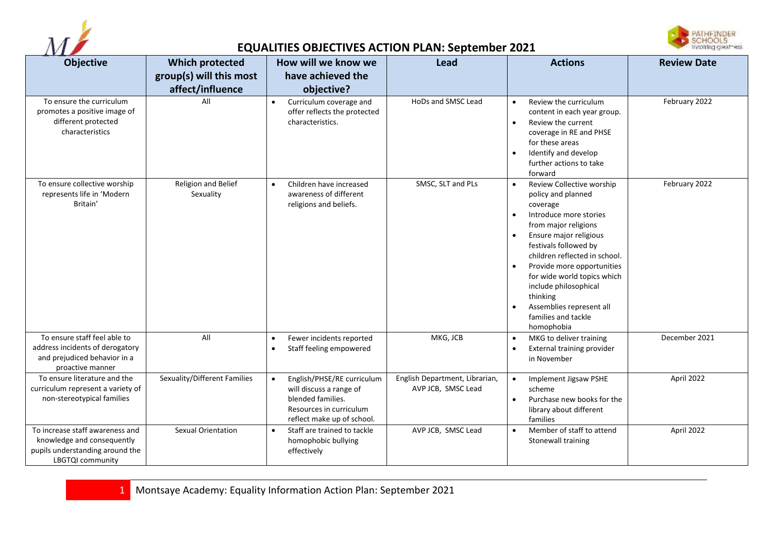



## **EQUALITIES OBJECTIVES ACTION PLAN: September 2021**

| <b>Objective</b>                                                                                                     | <b>Which protected</b>           | How will we know we                                                                                                                              | Lead                                                 | <b>Actions</b>                                                                                                                                                                                                                                                                                                                                                                                                                        | <b>Review Date</b> |
|----------------------------------------------------------------------------------------------------------------------|----------------------------------|--------------------------------------------------------------------------------------------------------------------------------------------------|------------------------------------------------------|---------------------------------------------------------------------------------------------------------------------------------------------------------------------------------------------------------------------------------------------------------------------------------------------------------------------------------------------------------------------------------------------------------------------------------------|--------------------|
|                                                                                                                      | group(s) will this most          | have achieved the                                                                                                                                |                                                      |                                                                                                                                                                                                                                                                                                                                                                                                                                       |                    |
| To ensure the curriculum<br>promotes a positive image of<br>different protected<br>characteristics                   | affect/influence<br>All          | objective?<br>Curriculum coverage and<br>$\bullet$<br>offer reflects the protected<br>characteristics.                                           | HoDs and SMSC Lead                                   | Review the curriculum<br>$\bullet$<br>content in each year group.<br>Review the current<br>$\bullet$<br>coverage in RE and PHSE<br>for these areas<br>Identify and develop<br>$\bullet$<br>further actions to take<br>forward                                                                                                                                                                                                         | February 2022      |
| To ensure collective worship<br>represents life in 'Modern<br>Britain'                                               | Religion and Belief<br>Sexuality | Children have increased<br>$\bullet$<br>awareness of different<br>religions and beliefs.                                                         | SMSC, SLT and PLs                                    | Review Collective worship<br>$\bullet$<br>policy and planned<br>coverage<br>Introduce more stories<br>$\bullet$<br>from major religions<br>Ensure major religious<br>$\bullet$<br>festivals followed by<br>children reflected in school.<br>Provide more opportunities<br>$\bullet$<br>for wide world topics which<br>include philosophical<br>thinking<br>Assemblies represent all<br>$\bullet$<br>families and tackle<br>homophobia | February 2022      |
| To ensure staff feel able to<br>address incidents of derogatory<br>and prejudiced behavior in a<br>proactive manner  | All                              | Fewer incidents reported<br>$\bullet$<br>Staff feeling empowered<br>$\bullet$                                                                    | MKG, JCB                                             | MKG to deliver training<br>$\bullet$<br>External training provider<br>٠<br>in November                                                                                                                                                                                                                                                                                                                                                | December 2021      |
| To ensure literature and the<br>curriculum represent a variety of<br>non-stereotypical families                      | Sexuality/Different Families     | English/PHSE/RE curriculum<br>$\bullet$<br>will discuss a range of<br>blended families.<br>Resources in curriculum<br>reflect make up of school. | English Department, Librarian,<br>AVP JCB, SMSC Lead | Implement Jigsaw PSHE<br>$\bullet$<br>scheme<br>Purchase new books for the<br>$\bullet$<br>library about different<br>families                                                                                                                                                                                                                                                                                                        | April 2022         |
| To increase staff awareness and<br>knowledge and consequently<br>pupils understanding around the<br>LBGTQI community | Sexual Orientation               | Staff are trained to tackle<br>homophobic bullying<br>effectively                                                                                | AVP JCB, SMSC Lead                                   | Member of staff to attend<br>$\bullet$<br>Stonewall training                                                                                                                                                                                                                                                                                                                                                                          | April 2022         |